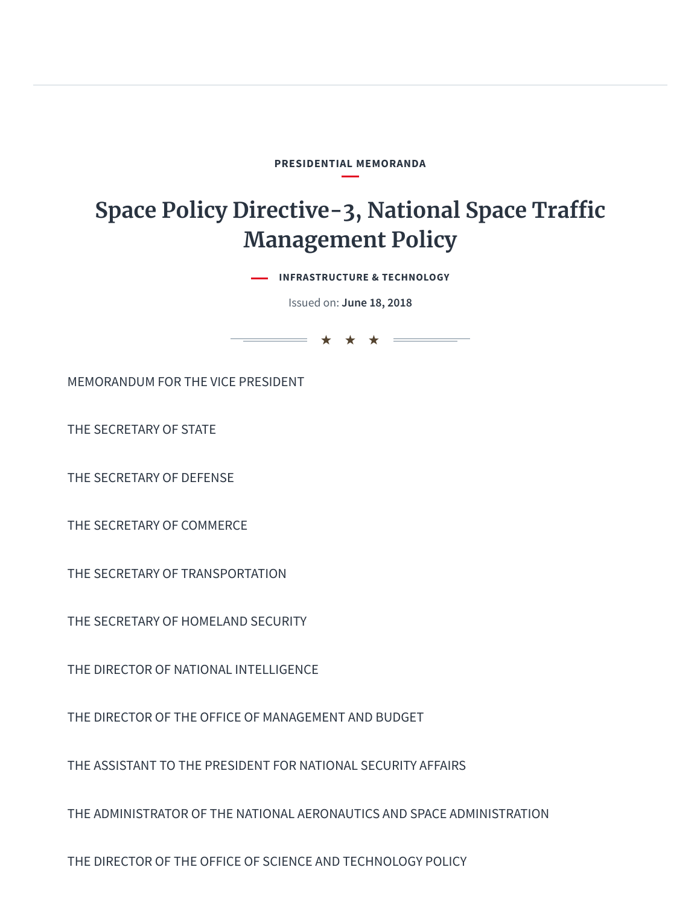#### **PRESIDENTIAL MEMORANDA**

# **Space Policy Directive-3, National Space Traffic Management Policy**

**[INFRASTRUCTURE](https://www.whitehouse.gov/issues/infrastructure-technology/) & TECHNOLOGY**

Issued on: **June 18, 2018**

★ ★ ★

MEMORANDUM FOR THE VICE PRESIDENT

THE SECRETARY OF STATE

THE SECRETARY OF DEFENSE

THE SECRETARY OF COMMERCE

THE SECRETARY OF TRANSPORTATION

THE SECRETARY OF HOMELAND SECURITY

THE DIRECTOR OF NATIONAL INTELLIGENCE

THE DIRECTOR OF THE OFFICE OF MANAGEMENT AND BUDGET

THE ASSISTANT TO THE PRESIDENT FOR NATIONAL SECURITY AFFAIRS

THE ADMINISTRATOR OF THE NATIONAL AERONAUTICS AND SPACE ADMINISTRATION

THE DIRECTOR OF THE OFFICE OF SCIENCE AND TECHNOLOGY POLICY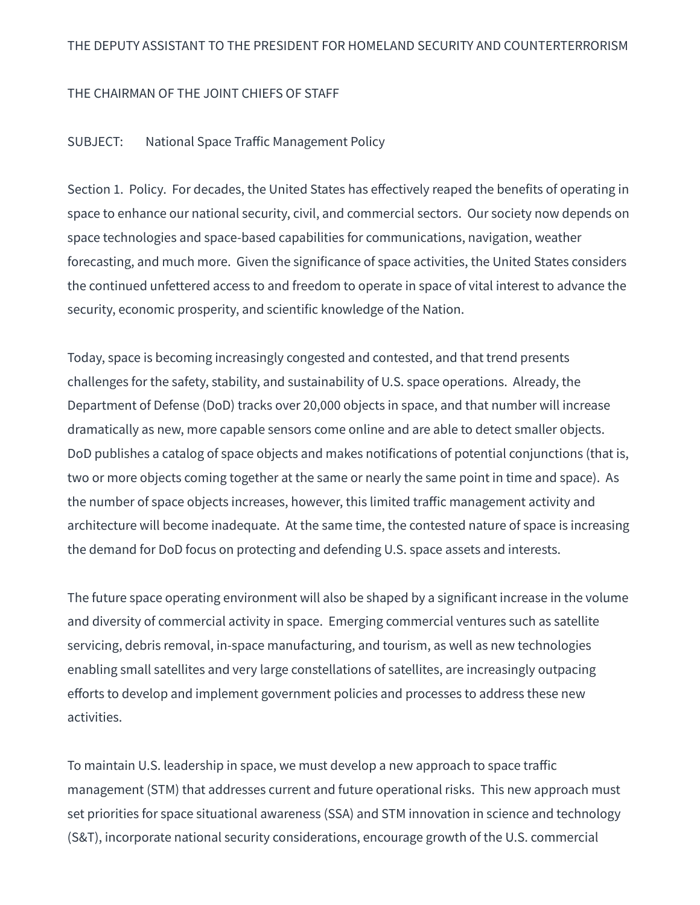### THE DEPUTY ASSISTANT TO THE PRESIDENT FOR HOMELAND SECURITY AND COUNTERTERRORISM

#### THE CHAIRMAN OF THE JOINT CHIEFS OF STAFF

## SUBJECT: National Space Traffic Management Policy

Section 1. Policy. For decades, the United States has effectively reaped the benefits of operating in space to enhance our national security, civil, and commercial sectors. Our society now depends on space technologies and space-based capabilities for communications, navigation, weather forecasting, and much more. Given the significance of space activities, the United States considers the continued unfettered access to and freedom to operate in space of vital interest to advance the security, economic prosperity, and scientific knowledge of the Nation.

Today, space is becoming increasingly congested and contested, and that trend presents challenges for the safety, stability, and sustainability of U.S. space operations. Already, the Department of Defense (DoD) tracks over 20,000 objects in space, and that number will increase dramatically as new, more capable sensors come online and are able to detect smaller objects. DoD publishes a catalog of space objects and makes notifications of potential conjunctions (that is, two or more objects coming together at the same or nearly the same point in time and space). As the number of space objects increases, however, this limited traffic management activity and architecture will become inadequate. At the same time, the contested nature of space is increasing the demand for DoD focus on protecting and defending U.S. space assets and interests.

The future space operating environment will also be shaped by a significant increase in the volume and diversity of commercial activity in space. Emerging commercial ventures such as satellite servicing, debris removal, in-space manufacturing, and tourism, as well as new technologies enabling small satellites and very large constellations of satellites, are increasingly outpacing efforts to develop and implement government policies and processes to address these new activities.

To maintain U.S. leadership in space, we must develop a new approach to space traffic management (STM) that addresses current and future operational risks. This new approach must set priorities for space situational awareness (SSA) and STM innovation in science and technology (S&T), incorporate national security considerations, encourage growth of the U.S. commercial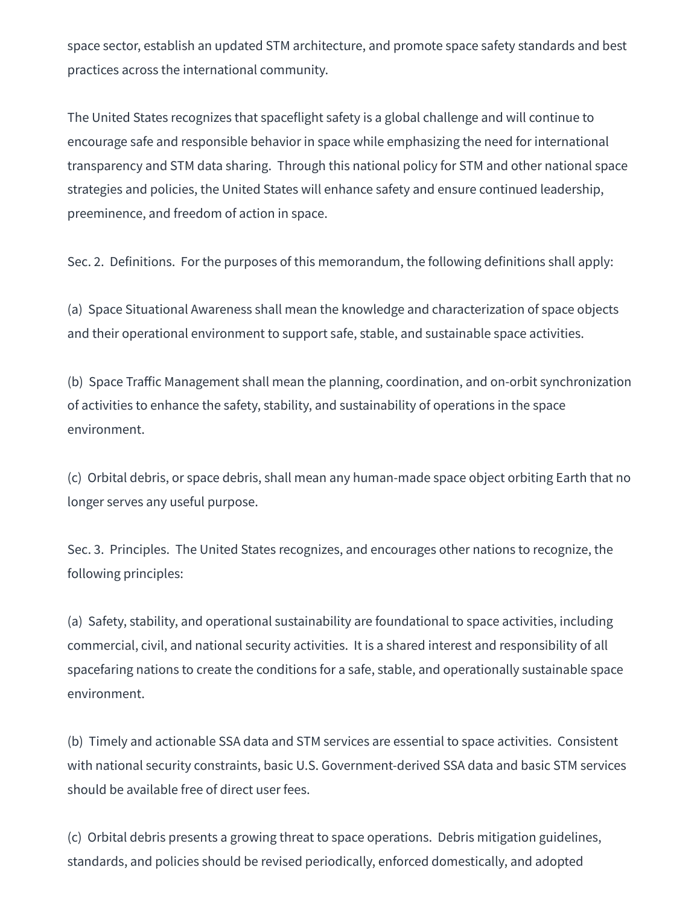space sector, establish an updated STM architecture, and promote space safety standards and best practices across the international community.

The United States recognizes that spaceflight safety is a global challenge and will continue to encourage safe and responsible behavior in space while emphasizing the need for international transparency and STM data sharing. Through this national policy for STM and other national space strategies and policies, the United States will enhance safety and ensure continued leadership, preeminence, and freedom of action in space.

Sec. 2. Definitions. For the purposes of this memorandum, the following definitions shall apply:

(a) Space Situational Awareness shall mean the knowledge and characterization of space objects and their operational environment to support safe, stable, and sustainable space activities.

(b) Space Traffic Management shall mean the planning, coordination, and on-orbit synchronization of activities to enhance the safety, stability, and sustainability of operations in the space environment.

(c) Orbital debris, or space debris, shall mean any human-made space object orbiting Earth that no longer serves any useful purpose.

Sec. 3. Principles. The United States recognizes, and encourages other nations to recognize, the following principles:

(a) Safety, stability, and operational sustainability are foundational to space activities, including commercial, civil, and national security activities. It is a shared interest and responsibility of all spacefaring nations to create the conditions for a safe, stable, and operationally sustainable space environment.

(b) Timely and actionable SSA data and STM services are essential to space activities. Consistent with national security constraints, basic U.S. Government-derived SSA data and basic STM services should be available free of direct user fees.

(c) Orbital debris presents a growing threat to space operations. Debris mitigation guidelines, standards, and policies should be revised periodically, enforced domestically, and adopted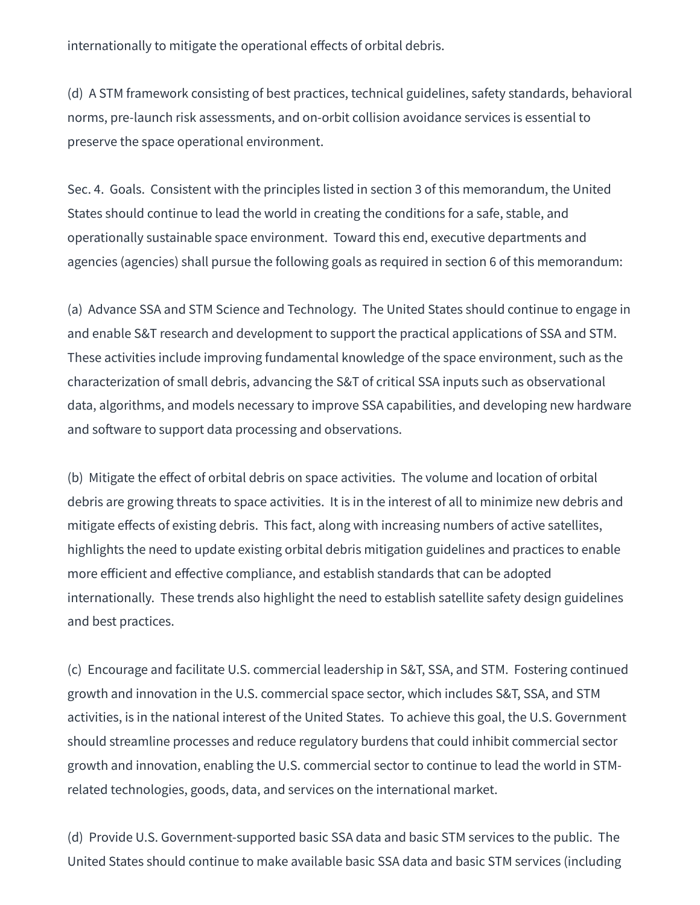internationally to mitigate the operational effects of orbital debris.

(d) A STM framework consisting of best practices, technical guidelines, safety standards, behavioral norms, pre-launch risk assessments, and on-orbit collision avoidance services is essential to preserve the space operational environment.

Sec. 4. Goals. Consistent with the principles listed in section 3 of this memorandum, the United States should continue to lead the world in creating the conditions for a safe, stable, and operationally sustainable space environment. Toward this end, executive departments and agencies (agencies) shall pursue the following goals as required in section 6 of this memorandum:

(a) Advance SSA and STM Science and Technology. The United States should continue to engage in and enable S&T research and development to support the practical applications of SSA and STM. These activities include improving fundamental knowledge of the space environment, such as the characterization of small debris, advancing the S&T of critical SSA inputs such as observational data, algorithms, and models necessary to improve SSA capabilities, and developing new hardware and software to support data processing and observations.

(b) Mitigate the effect of orbital debris on space activities. The volume and location of orbital debris are growing threats to space activities. It is in the interest of all to minimize new debris and mitigate effects of existing debris. This fact, along with increasing numbers of active satellites, highlights the need to update existing orbital debris mitigation guidelines and practices to enable more efficient and effective compliance, and establish standards that can be adopted internationally. These trends also highlight the need to establish satellite safety design guidelines and best practices.

(c) Encourage and facilitate U.S. commercial leadership in S&T, SSA, and STM. Fostering continued growth and innovation in the U.S. commercial space sector, which includes S&T, SSA, and STM activities, is in the national interest of the United States. To achieve this goal, the U.S. Government should streamline processes and reduce regulatory burdens that could inhibit commercial sector growth and innovation, enabling the U.S. commercial sector to continue to lead the world in STMrelated technologies, goods, data, and services on the international market.

(d) Provide U.S. Government-supported basic SSA data and basic STM services to the public. The United States should continue to make available basic SSA data and basic STM services (including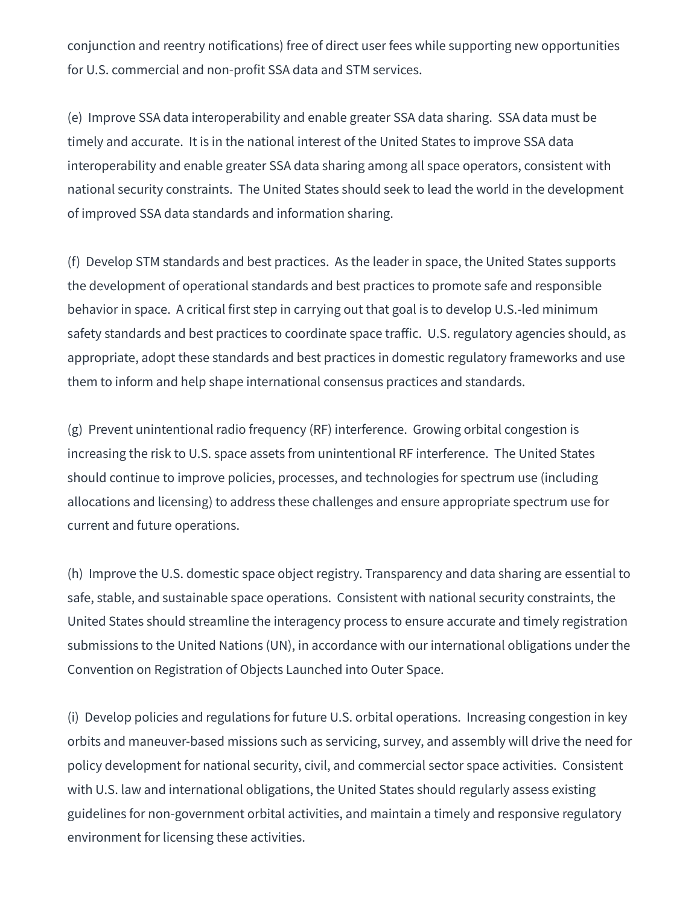conjunction and reentry notifications) free of direct user fees while supporting new opportunities for U.S. commercial and non-profit SSA data and STM services.

(e) Improve SSA data interoperability and enable greater SSA data sharing. SSA data must be timely and accurate. It is in the national interest of the United States to improve SSA data interoperability and enable greater SSA data sharing among all space operators, consistent with national security constraints. The United States should seek to lead the world in the development of improved SSA data standards and information sharing.

(f) Develop STM standards and best practices. As the leader in space, the United States supports the development of operational standards and best practices to promote safe and responsible behavior in space. A critical first step in carrying out that goal is to develop U.S.-led minimum safety standards and best practices to coordinate space traffic. U.S. regulatory agencies should, as appropriate, adopt these standards and best practices in domestic regulatory frameworks and use them to inform and help shape international consensus practices and standards.

(g) Prevent unintentional radio frequency (RF) interference. Growing orbital congestion is increasing the risk to U.S. space assets from unintentional RF interference. The United States should continue to improve policies, processes, and technologies for spectrum use (including allocations and licensing) to address these challenges and ensure appropriate spectrum use for current and future operations.

(h) Improve the U.S. domestic space object registry. Transparency and data sharing are essential to safe, stable, and sustainable space operations. Consistent with national security constraints, the United States should streamline the interagency process to ensure accurate and timely registration submissions to the United Nations (UN), in accordance with our international obligations under the Convention on Registration of Objects Launched into Outer Space.

(i) Develop policies and regulations for future U.S. orbital operations. Increasing congestion in key orbits and maneuver-based missions such as servicing, survey, and assembly will drive the need for policy development for national security, civil, and commercial sector space activities. Consistent with U.S. law and international obligations, the United States should regularly assess existing guidelines for non-government orbital activities, and maintain a timely and responsive regulatory environment for licensing these activities.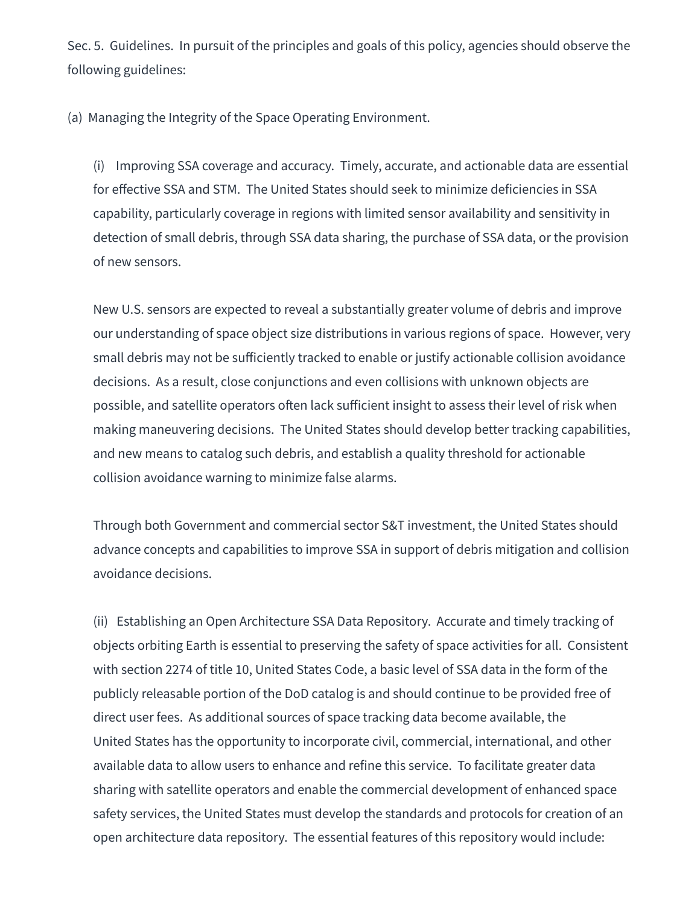Sec. 5. Guidelines. In pursuit of the principles and goals of this policy, agencies should observe the following guidelines:

(a) Managing the Integrity of the Space Operating Environment.

(i) Improving SSA coverage and accuracy. Timely, accurate, and actionable data are essential for effective SSA and STM. The United States should seek to minimize deficiencies in SSA capability, particularly coverage in regions with limited sensor availability and sensitivity in detection of small debris, through SSA data sharing, the purchase of SSA data, or the provision of new sensors.

New U.S. sensors are expected to reveal a substantially greater volume of debris and improve our understanding of space object size distributions in various regions of space. However, very small debris may not be sufficiently tracked to enable or justify actionable collision avoidance decisions. As a result, close conjunctions and even collisions with unknown objects are possible, and satellite operators often lack sufficient insight to assess their level of risk when making maneuvering decisions. The United States should develop better tracking capabilities, and new means to catalog such debris, and establish a quality threshold for actionable collision avoidance warning to minimize false alarms.

Through both Government and commercial sector S&T investment, the United States should advance concepts and capabilities to improve SSA in support of debris mitigation and collision avoidance decisions.

(ii) Establishing an Open Architecture SSA Data Repository. Accurate and timely tracking of objects orbiting Earth is essential to preserving the safety of space activities for all. Consistent with section 2274 of title 10, United States Code, a basic level of SSA data in the form of the publicly releasable portion of the DoD catalog is and should continue to be provided free of direct user fees. As additional sources of space tracking data become available, the United States has the opportunity to incorporate civil, commercial, international, and other available data to allow users to enhance and refine this service. To facilitate greater data sharing with satellite operators and enable the commercial development of enhanced space safety services, the United States must develop the standards and protocols for creation of an open architecture data repository. The essential features of this repository would include: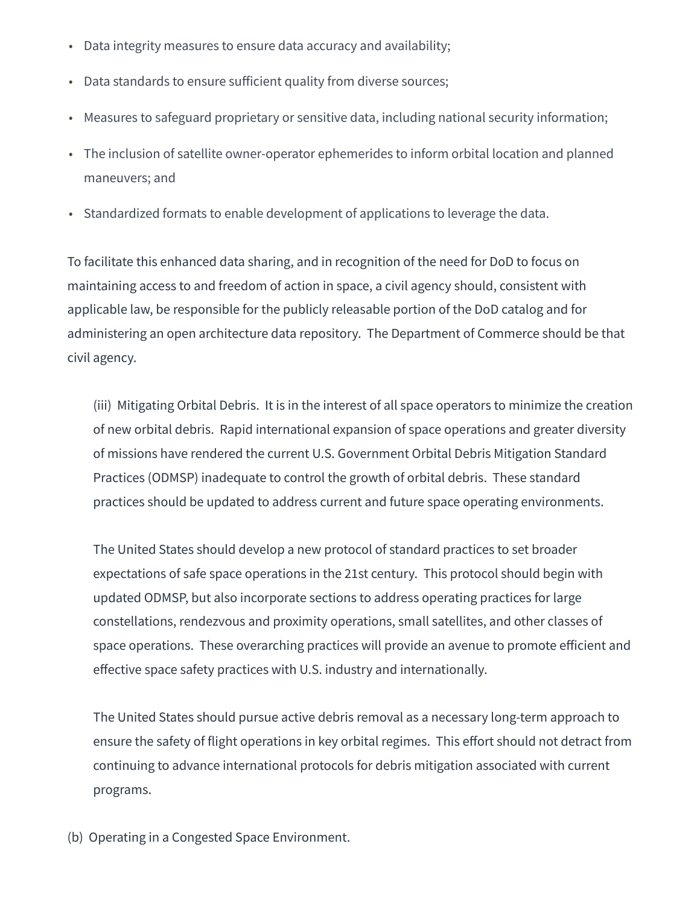- Data integrity measures to ensure data accuracy and availability;
- Data standards to ensure sufficient quality from diverse sources;
- Measures to safeguard proprietary or sensitive data, including national security information;
- The inclusion of satellite owner-operator ephemerides to inform orbital location and planned maneuvers; and
- Standardized formats to enable development of applications to leverage the data.

To facilitate this enhanced data sharing, and in recognition of the need for DoD to focus on maintaining access to and freedom of action in space, a civil agency should, consistent with applicable law, be responsible for the publicly releasable portion of the DoD catalog and for administering an open architecture data repository. The Department of Commerce should be that civil agency.

(iii) Mitigating Orbital Debris. It is in the interest of all space operators to minimize the creation of new orbital debris. Rapid international expansion of space operations and greater diversity of missions have rendered the current U.S. Government Orbital Debris Mitigation Standard Practices (ODMSP) inadequate to control the growth of orbital debris. These standard practices should be updated to address current and future space operating environments.

The United States should develop a new protocol of standard practices to set broader expectations of safe space operations in the 21st century. This protocol should begin with updated ODMSP, but also incorporate sections to address operating practices for large constellations, rendezvous and proximity operations, small satellites, and other classes of space operations. These overarching practices will provide an avenue to promote efficient and effective space safety practices with U.S. industry and internationally.

The United States should pursue active debris removal as a necessary long-term approach to ensure the safety of flight operations in key orbital regimes. This effort should not detract from continuing to advance international protocols for debris mitigation associated with current programs.

(b) Operating in a Congested Space Environment.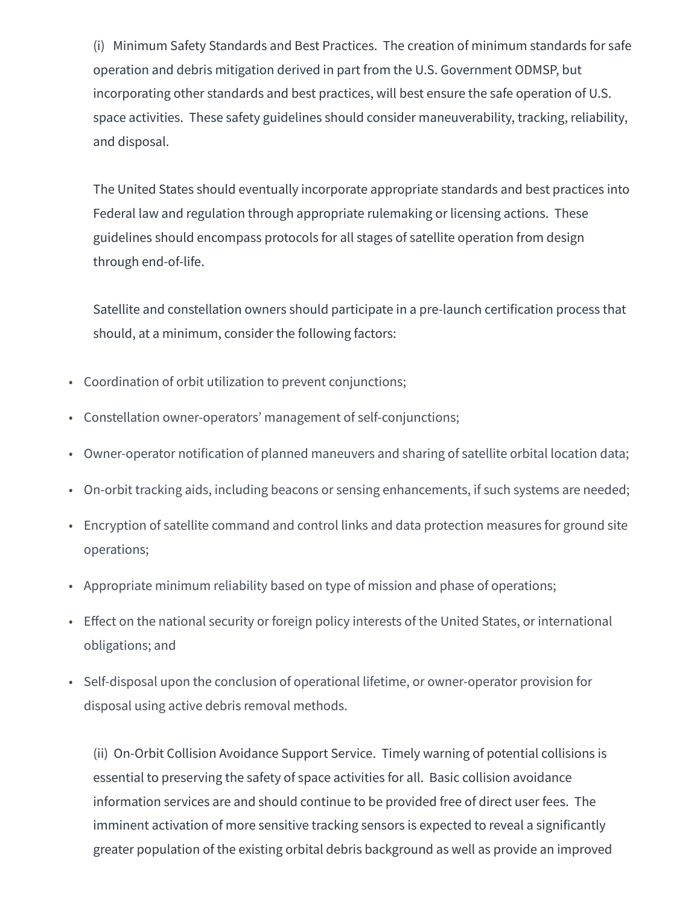(i) Minimum Safety Standards and Best Practices. The creation of minimum standards for safe operation and debris mitigation derived in part from the U.S. Government ODMSP, but incorporating other standards and best practices, will best ensure the safe operation of U.S. space activities. These safety guidelines should consider maneuverability, tracking, reliability, and disposal.

The United States should eventually incorporate appropriate standards and best practices into Federal law and regulation through appropriate rulemaking or licensing actions. These guidelines should encompass protocols for all stages of satellite operation from design through end-of-life.

Satellite and constellation owners should participate in a pre-launch certification process that should, at a minimum, consider the following factors:

- Coordination of orbit utilization to prevent conjunctions;
- Constellation owner-operators' management of self-conjunctions;
- Owner-operator notification of planned maneuvers and sharing of satellite orbital location data;
- On-orbit tracking aids, including beacons or sensing enhancements, if such systems are needed;
- Encryption of satellite command and control links and data protection measures for ground site operations;
- Appropriate minimum reliability based on type of mission and phase of operations;
- Effect on the national security or foreign policy interests of the United States, or international obligations; and
- Self-disposal upon the conclusion of operational lifetime, or owner-operator provision for disposal using active debris removal methods.

(ii) On-Orbit Collision Avoidance Support Service. Timely warning of potential collisions is essential to preserving the safety of space activities for all. Basic collision avoidance information services are and should continue to be provided free of direct user fees. The imminent activation of more sensitive tracking sensors is expected to reveal a significantly greater population of the existing orbital debris background as well as provide an improved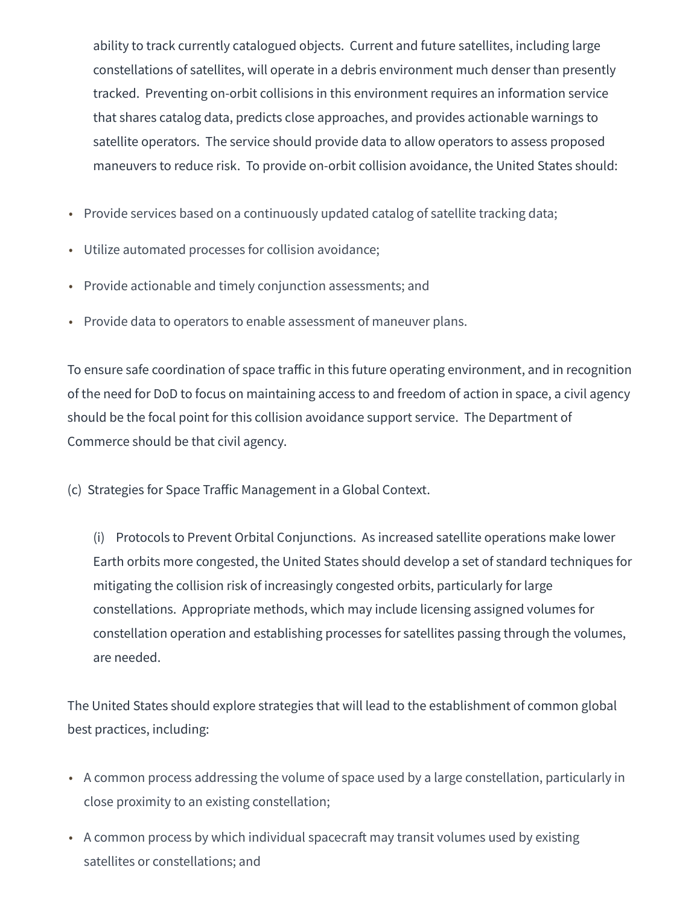ability to track currently catalogued objects. Current and future satellites, including large constellations of satellites, will operate in a debris environment much denser than presently tracked. Preventing on-orbit collisions in this environment requires an information service that shares catalog data, predicts close approaches, and provides actionable warnings to satellite operators. The service should provide data to allow operators to assess proposed maneuvers to reduce risk. To provide on-orbit collision avoidance, the United States should:

- Provide services based on a continuously updated catalog of satellite tracking data;
- Utilize automated processes for collision avoidance;
- Provide actionable and timely conjunction assessments; and
- Provide data to operators to enable assessment of maneuver plans.

To ensure safe coordination of space traffic in this future operating environment, and in recognition of the need for DoD to focus on maintaining access to and freedom of action in space, a civil agency should be the focal point for this collision avoidance support service. The Department of Commerce should be that civil agency.

(c) Strategies for Space Traffic Management in a Global Context.

(i) Protocols to Prevent Orbital Conjunctions. As increased satellite operations make lower Earth orbits more congested, the United States should develop a set of standard techniques for mitigating the collision risk of increasingly congested orbits, particularly for large constellations. Appropriate methods, which may include licensing assigned volumes for constellation operation and establishing processes for satellites passing through the volumes, are needed.

The United States should explore strategies that will lead to the establishment of common global best practices, including:

- A common process addressing the volume of space used by a large constellation, particularly in close proximity to an existing constellation;
- A common process by which individual spacecraft may transit volumes used by existing satellites or constellations; and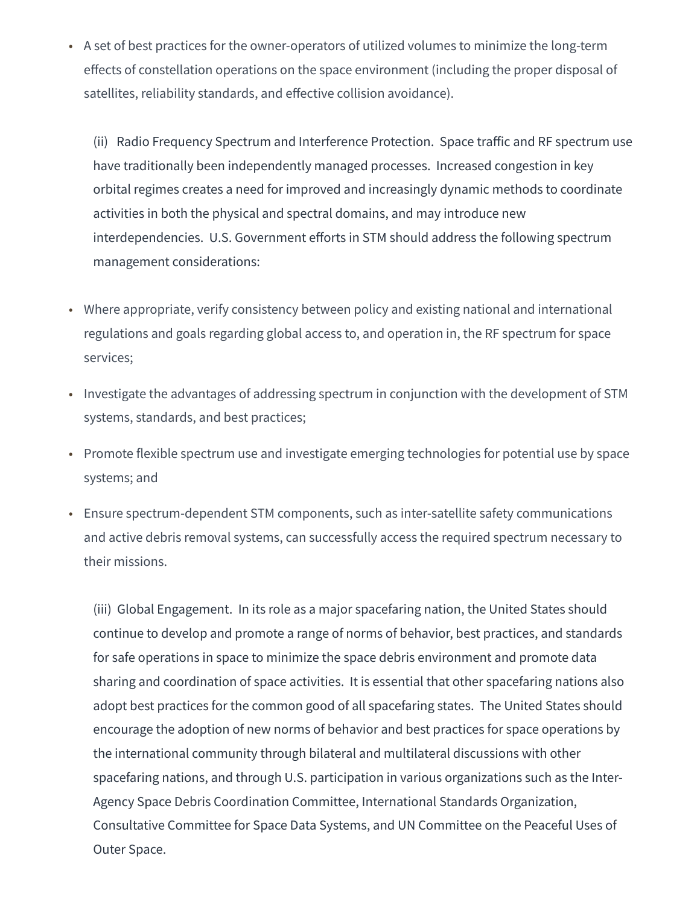• A set of best practices for the owner-operators of utilized volumes to minimize the long-term effects of constellation operations on the space environment (including the proper disposal of satellites, reliability standards, and effective collision avoidance).

(ii) Radio Frequency Spectrum and Interference Protection. Space traffic and RF spectrum use have traditionally been independently managed processes. Increased congestion in key orbital regimes creates a need for improved and increasingly dynamic methods to coordinate activities in both the physical and spectral domains, and may introduce new interdependencies. U.S. Government efforts in STM should address the following spectrum management considerations:

- Where appropriate, verify consistency between policy and existing national and international regulations and goals regarding global access to, and operation in, the RF spectrum for space services;
- Investigate the advantages of addressing spectrum in conjunction with the development of STM systems, standards, and best practices;
- Promote flexible spectrum use and investigate emerging technologies for potential use by space systems; and
- Ensure spectrum-dependent STM components, such as inter-satellite safety communications and active debris removal systems, can successfully access the required spectrum necessary to their missions.

(iii) Global Engagement. In its role as a major spacefaring nation, the United States should continue to develop and promote a range of norms of behavior, best practices, and standards for safe operations in space to minimize the space debris environment and promote data sharing and coordination of space activities. It is essential that other spacefaring nations also adopt best practices for the common good of all spacefaring states. The United States should encourage the adoption of new norms of behavior and best practices for space operations by the international community through bilateral and multilateral discussions with other spacefaring nations, and through U.S. participation in various organizations such as the Inter-Agency Space Debris Coordination Committee, International Standards Organization, Consultative Committee for Space Data Systems, and UN Committee on the Peaceful Uses of Outer Space.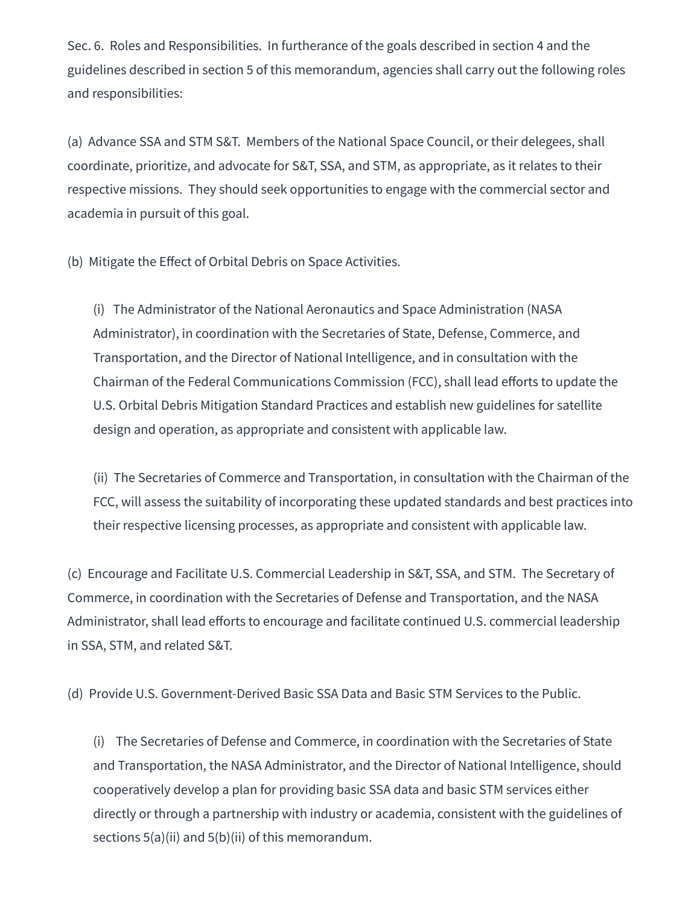Sec. 6. Roles and Responsibilities. In furtherance of the goals described in section 4 and the guidelines described in section 5 of this memorandum, agencies shall carry out the following roles and responsibilities:

(a) Advance SSA and STM S&T. Members of the National Space Council, or their delegees, shall coordinate, prioritize, and advocate for S&T, SSA, and STM, as appropriate, as it relates to their respective missions. They should seek opportunities to engage with the commercial sector and academia in pursuit of this goal.

(b) Mitigate the Effect of Orbital Debris on Space Activities.

(i) The Administrator of the National Aeronautics and Space Administration (NASA Administrator), in coordination with the Secretaries of State, Defense, Commerce, and Transportation, and the Director of National Intelligence, and in consultation with the Chairman of the Federal Communications Commission (FCC), shall lead efforts to update the U.S. Orbital Debris Mitigation Standard Practices and establish new guidelines for satellite design and operation, as appropriate and consistent with applicable law.

(ii) The Secretaries of Commerce and Transportation, in consultation with the Chairman of the FCC, will assess the suitability of incorporating these updated standards and best practices into their respective licensing processes, as appropriate and consistent with applicable law.

(c) Encourage and Facilitate U.S. Commercial Leadership in S&T, SSA, and STM. The Secretary of Commerce, in coordination with the Secretaries of Defense and Transportation, and the NASA Administrator, shall lead efforts to encourage and facilitate continued U.S. commercial leadership in SSA, STM, and related S&T.

(d) Provide U.S. Government-Derived Basic SSA Data and Basic STM Services to the Public.

(i) The Secretaries of Defense and Commerce, in coordination with the Secretaries of State and Transportation, the NASA Administrator, and the Director of National Intelligence, should cooperatively develop a plan for providing basic SSA data and basic STM services either directly or through a partnership with industry or academia, consistent with the guidelines of sections 5(a)(ii) and 5(b)(ii) of this memorandum.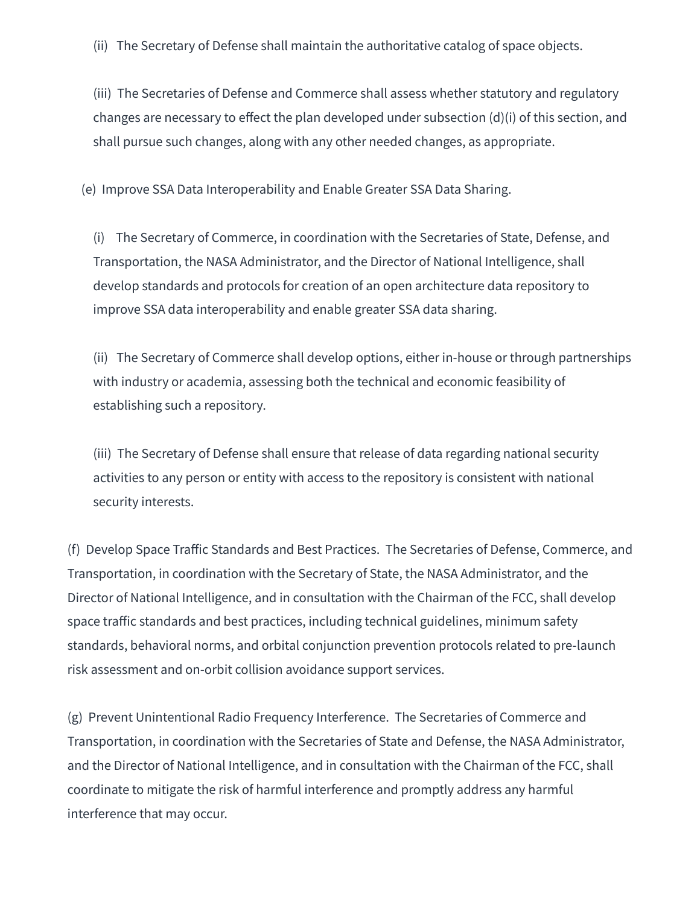(ii) The Secretary of Defense shall maintain the authoritative catalog of space objects.

(iii) The Secretaries of Defense and Commerce shall assess whether statutory and regulatory changes are necessary to effect the plan developed under subsection  $(d)(i)$  of this section, and shall pursue such changes, along with any other needed changes, as appropriate.

(e) Improve SSA Data Interoperability and Enable Greater SSA Data Sharing.

(i) The Secretary of Commerce, in coordination with the Secretaries of State, Defense, and Transportation, the NASA Administrator, and the Director of National Intelligence, shall develop standards and protocols for creation of an open architecture data repository to improve SSA data interoperability and enable greater SSA data sharing.

(ii) The Secretary of Commerce shall develop options, either in-house or through partnerships with industry or academia, assessing both the technical and economic feasibility of establishing such a repository.

(iii) The Secretary of Defense shall ensure that release of data regarding national security activities to any person or entity with access to the repository is consistent with national security interests.

(f) Develop Space Traffic Standards and Best Practices. The Secretaries of Defense, Commerce, and Transportation, in coordination with the Secretary of State, the NASA Administrator, and the Director of National Intelligence, and in consultation with the Chairman of the FCC, shall develop space traffic standards and best practices, including technical guidelines, minimum safety standards, behavioral norms, and orbital conjunction prevention protocols related to pre-launch risk assessment and on-orbit collision avoidance support services.

(g) Prevent Unintentional Radio Frequency Interference. The Secretaries of Commerce and Transportation, in coordination with the Secretaries of State and Defense, the NASA Administrator, and the Director of National Intelligence, and in consultation with the Chairman of the FCC, shall coordinate to mitigate the risk of harmful interference and promptly address any harmful interference that may occur.